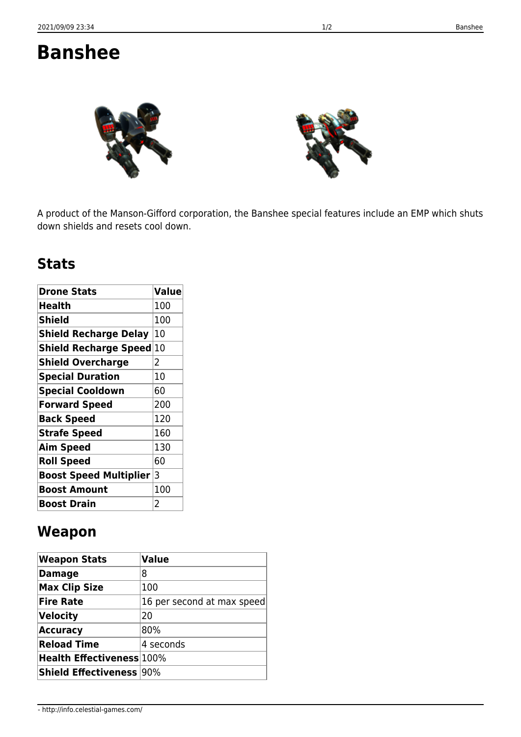## **Banshee**



A product of the Manson-Gifford corporation, the Banshee special features include an EMP which shuts down shields and resets cool down.

## **Stats**

| <b>Drone Stats</b>            | <b>Value</b>   |
|-------------------------------|----------------|
| Health                        | 100            |
| <b>Shield</b>                 | 100            |
| <b>Shield Recharge Delay</b>  | 10             |
| <b>Shield Recharge Speed</b>  | 10             |
| <b>Shield Overcharge</b>      | 2              |
| <b>Special Duration</b>       | 10             |
| <b>Special Cooldown</b>       | 60             |
| <b>Forward Speed</b>          | 200            |
| <b>Back Speed</b>             | 120            |
| <b>Strafe Speed</b>           | 160            |
| <b>Aim Speed</b>              | 130            |
| <b>Roll Speed</b>             | 60             |
| <b>Boost Speed Multiplier</b> | 3              |
| <b>Boost Amount</b>           | 100            |
| <b>Boost Drain</b>            | $\overline{2}$ |

## **Weapon**

| <b>Weapon Stats</b>              | <b>Value</b>               |
|----------------------------------|----------------------------|
| <b>Damage</b>                    | 8                          |
| <b>Max Clip Size</b>             | 100                        |
| <b>Fire Rate</b>                 | 16 per second at max speed |
| Velocity                         | 20                         |
| <b>Accuracy</b>                  | 80%                        |
| <b>Reload Time</b>               | 4 seconds                  |
| <b>Health Effectiveness</b> 100% |                            |
| <b>Shield Effectiveness 90%</b>  |                            |